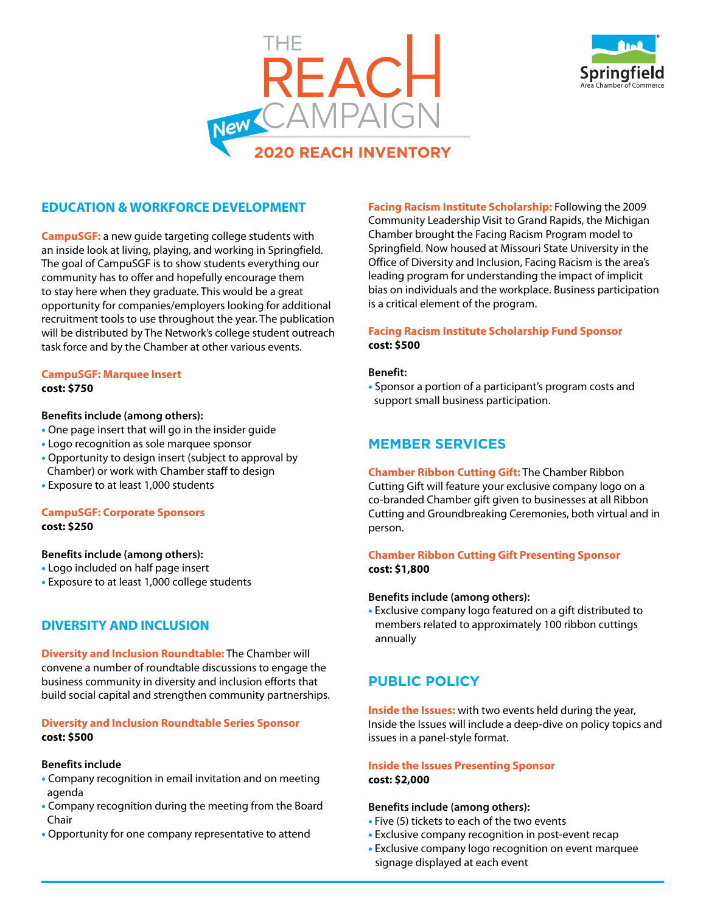



# **EDUCATION & WORKFORCE DEVELOPMENT**

**CampuSGF:** a new guide targeting college students with an inside look at living, playing, and working in Springfield. The goal of CampuSGF is to show students everything our community has to offer and hopefully encourage them to stay here when they graduate. This would be a great opportunity for companies/employers looking for additional recruitment tools to use throughout the year. The publication will be distributed by The Network's college student outreach task force and by the Chamber at other various events.

#### **CampuSGF: Marquee Insert cost: \$750**

#### **Benefits include (among others):**

- One page insert that will go in the insider guide
- Logo recognition as sole marquee sponsor
- Opportunity to design insert (subject to approval by Chamber) or work with Chamber staff to design
- Exposure to at least 1,000 students

# **CampuSGF: Corporate Sponsors cost: \$250**

#### **Benefits include (among others):**

- Logo included on half page insert
- Exposure to at least 1,000 college students

# **DIVERSITY AND INCLUSION**

**Diversity and Inclusion Roundtable:** The Chamber will convene a number of roundtable discussions to engage the business community in diversity and inclusion efforts that build social capital and strengthen community partnerships.

# **Diversity and Inclusion Roundtable Series Sponsor cost: \$500**

#### **Benefits include**

- Company recognition in email invitation and on meeting agenda
- Company recognition during the meeting from the Board Chair
- Opportunity for one company representative to attend

**Facing Racism Institute Scholarship:** Following the 2009 Community Leadership Visit to Grand Rapids, the Michigan Chamber brought the Facing Racism Program model to Springfield. Now housed at Missouri State University in the Office of Diversity and Inclusion, Facing Racism is the area's leading program for understanding the impact of implicit bias on individuals and the workplace. Business participation is a critical element of the program.

# **Facing Racism Institute Scholarship Fund Sponsor cost: \$500**

#### **Benefit:**

• Sponsor a portion of a participant's program costs and support small business participation.

# **MEMBER SERVICES**

**Chamber Ribbon Cutting Gift:** The Chamber Ribbon Cutting Gift will feature your exclusive company logo on a co-branded Chamber gift given to businesses at all Ribbon Cutting and Groundbreaking Ceremonies, both virtual and in person.

# **Chamber Ribbon Cutting Gift Presenting Sponsor cost: \$1,800**

#### **Benefits include (among others):**

• Exclusive company logo featured on a gift distributed to members related to approximately 100 ribbon cuttings annually

# **PUBLIC POLICY**

**Inside the Issues:** with two events held during the year, Inside the Issues will include a deep-dive on policy topics and issues in a panel-style format.

# **Inside the Issues Presenting Sponsor cost: \$2,000**

#### **Benefits include (among others):**

- Five (5) tickets to each of the two events
- Exclusive company recognition in post-event recap
- Exclusive company logo recognition on event marquee signage displayed at each event